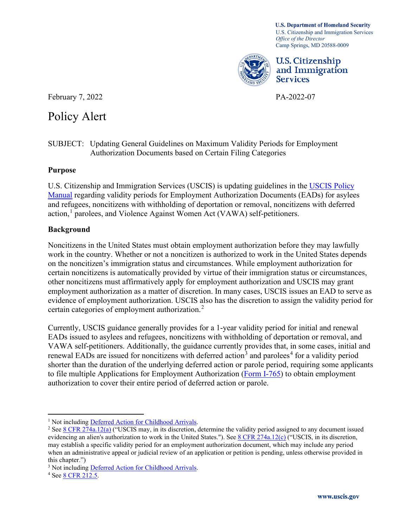Camp Springs, MD 20588-0009 **U.S. Department of Homeland Security**  U.S. Citizenship and Immigration Services *Office of the Director* 



U.S. Citizenship and Immigration Services

February 7, 2022 PA-2022-07

## Policy Alert

Policy Alert<br>SUBJECT: Updating General Guidelines on Maximum Validity Periods for Employment Authorization Documents based on Certain Filing Categories

## **Purpose**

[Manual](https://www.uscis.gov/policy-manual/volume-10) regarding validity periods for Employment Authorization Documents (EADs) for asylees U.S. Citizenship and Immigration Services (USCIS) is updating guidelines in the [USCIS Policy](https://www.uscis.gov/policy-manual/volume-10)  and refugees, noncitizens with withholding of deportation or removal, noncitizens with deferred action,<sup>[1](#page-0-0)</sup> parolees, and Violence Against Women Act (VAWA) self-petitioners.

## **Background**

certain categories of employment authorization. $2$ Noncitizens in the United States must obtain employment authorization before they may lawfully work in the country. Whether or not a noncitizen is authorized to work in the United States depends on the noncitizen's immigration status and circumstances. While employment authorization for certain noncitizens is automatically provided by virtue of their immigration status or circumstances, other noncitizens must affirmatively apply for employment authorization and USCIS may grant employment authorization as a matter of discretion. In many cases, USCIS issues an EAD to serve as evidence of employment authorization. USCIS also has the discretion to assign the validity period for

 Currently, USCIS guidance generally provides for a 1-year validity period for initial and renewal EADs issued to asylees and refugees, noncitizens with withholding of deportation or removal, and VAWA self-petitioners. Additionally, the guidance currently provides that, in some cases, initial and renewal EADs are issued for noncitizens with deferred action<sup>3</sup> and parolees<sup>[4](#page-0-3)</sup> for a validity period shorter than the duration of the underlying deferred action or parole period, requiring some applicants to file multiple Applications for Employment Authorization [\(Form I-765\)](https://www.uscis.gov/i-765) to obtain employment authorization to cover their entire period of deferred action or parole.

<span id="page-0-1"></span><span id="page-0-0"></span> may establish a specific validity period for an employment authorization document, which may include any period <sup>1</sup> Not including <u>Deferred Action for Childhood Arrivals</u>.<br><sup>2</sup> Se[e 8 CFR 274a.12\(a\)](https://www.ecfr.gov/current/title-8/chapter-I/subchapter-B/part-274a/subpart-B/section-274a.12) ("USCIS may, in its discretion, determine the validity period assigned to any document issued evidencing an alien's authorization to work in the United States."). See [8 CFR 274a.12\(c\)](https://www.ecfr.gov/current/title-8/chapter-I/subchapter-B/part-274a/subpart-B/section-274a.12) ("USCIS, in its discretion, when an administrative appeal or judicial review of an application or petition is pending, unless otherwise provided in this chapter.")

<span id="page-0-3"></span><span id="page-0-2"></span><sup>&</sup>lt;sup>3</sup> Not including <u>Deferred Action for Childhood Arrivals</u>.<br><sup>4</sup> Se[e 8 CFR 212.5.](https://www.ecfr.gov/current/title-8/chapter-I/subchapter-B/part-212/section-212.5)